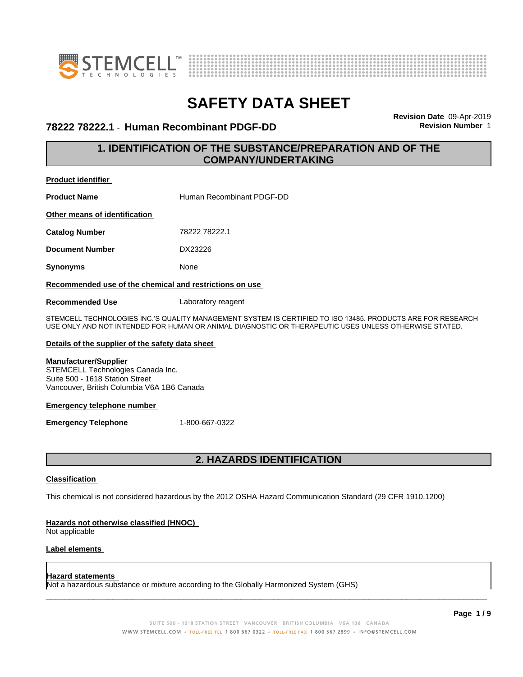



### **78222 78222.1** - **Human Recombinant PDGF-DD Revision Number** 1

**Revision Date** 09-Apr-2019

### **1. IDENTIFICATION OF THE SUBSTANCE/PREPARATION AND OF THE COMPANY/UNDERTAKING**

**Product identifier**

**Product Name Human Recombinant PDGF-DD** 

**Other means of identification**

**Catalog Number** 78222 78222.1

**Document Number** DX23226

**Synonyms** None

#### **Recommended use of the chemical and restrictions on use**

**Recommended Use** Laboratory reagent

STEMCELL TECHNOLOGIES INC.'S QUALITY MANAGEMENT SYSTEM IS CERTIFIED TO ISO 13485. PRODUCTS ARE FOR RESEARCH USE ONLY AND NOT INTENDED FOR HUMAN OR ANIMAL DIAGNOSTIC OR THERAPEUTIC USES UNLESS OTHERWISE STATED.

#### **Details of the supplier of the safety data sheet**

### **Manufacturer/Supplier**

STEMCELL Technologies Canada Inc. Suite 500 - 1618 Station Street Vancouver, British Columbia V6A 1B6 Canada

#### **Emergency telephone number**

**Emergency Telephone** 1-800-667-0322

### **2. HAZARDS IDENTIFICATION**

### **Classification**

This chemical is not considered hazardous by the 2012 OSHA Hazard Communication Standard (29 CFR 1910.1200)

#### **Hazards not otherwise classified (HNOC)**

Not applicable

### **Label elements**

#### **Hazard statements**

Not a hazardous substance or mixture according to the Globally Harmonized System (GHS)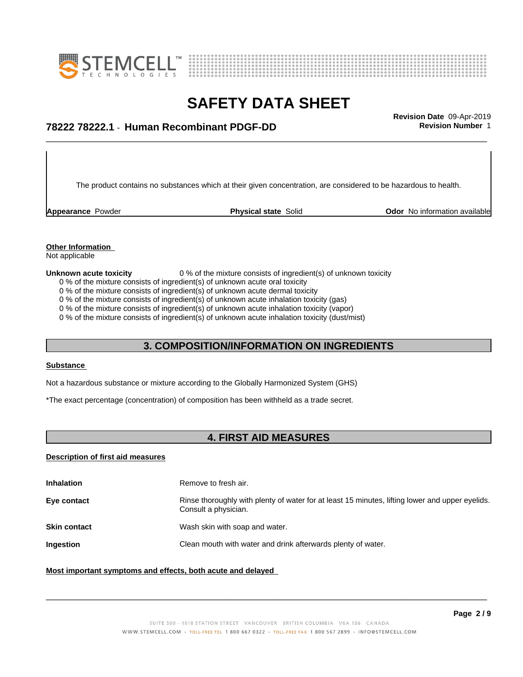



## \_\_\_\_\_\_\_\_\_\_\_\_\_\_\_\_\_\_\_\_\_\_\_\_\_\_\_\_\_\_\_\_\_\_\_\_\_\_\_\_\_\_\_\_\_\_\_\_\_\_\_\_\_\_\_\_\_\_\_\_\_\_\_\_\_\_\_\_\_\_\_\_\_\_\_\_\_\_\_\_\_\_\_\_\_\_\_\_\_\_\_\_\_ **Revision Date** 09-Apr-2019 **78222 78222.1** - **Human Recombinant PDGF-DD Revision Number** 1

The product contains no substances which at their given concentration, are considered to be hazardous to health.

**Appearance** Powder **Physical state** Solid **Physical Solid Physical Solid Physical Solid Physical Solid Physical Solid Physical Solid Physical Solid Physical Solid Physical Solid Physical Solid Physical** 

### **Other Information**

Not applicable

#### **Unknown acute toxicity** 0 % of the mixture consists of ingredient(s) of unknown toxicity

0 % of the mixture consists of ingredient(s) of unknown acute oral toxicity

0 % of the mixture consists of ingredient(s) of unknown acute dermal toxicity

0 % of the mixture consists of ingredient(s) of unknown acute inhalation toxicity (gas)

0 % of the mixture consists of ingredient(s) of unknown acute inhalation toxicity (vapor)

0 % of the mixture consists of ingredient(s) of unknown acute inhalation toxicity (dust/mist)

### **3. COMPOSITION/INFORMATION ON INGREDIENTS**

#### **Substance**

Not a hazardous substance or mixture according to the Globally Harmonized System (GHS)

\*The exact percentage (concentration) of composition has been withheld as a trade secret.

### **4. FIRST AID MEASURES**

### **Description of first aid measures**

| <b>Inhalation</b>   | Remove to fresh air.                                                                                                    |
|---------------------|-------------------------------------------------------------------------------------------------------------------------|
| Eye contact         | Rinse thoroughly with plenty of water for at least 15 minutes, lifting lower and upper eyelids.<br>Consult a physician. |
| <b>Skin contact</b> | Wash skin with soap and water.                                                                                          |
| Ingestion           | Clean mouth with water and drink afterwards plenty of water.                                                            |
|                     |                                                                                                                         |

### **Most important symptoms and effects, both acute and delayed**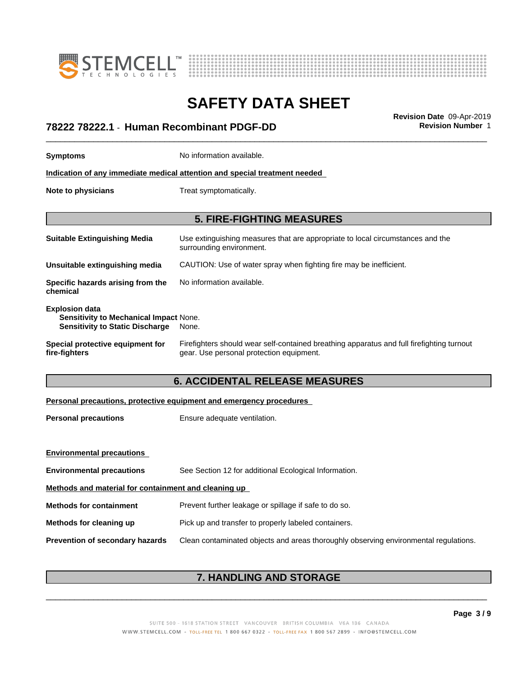



## \_\_\_\_\_\_\_\_\_\_\_\_\_\_\_\_\_\_\_\_\_\_\_\_\_\_\_\_\_\_\_\_\_\_\_\_\_\_\_\_\_\_\_\_\_\_\_\_\_\_\_\_\_\_\_\_\_\_\_\_\_\_\_\_\_\_\_\_\_\_\_\_\_\_\_\_\_\_\_\_\_\_\_\_\_\_\_\_\_\_\_\_\_ **Revision Date** 09-Apr-2019 **78222 78222.1** - **Human Recombinant PDGF-DD Revision Number** 1

| <b>Symptoms</b>                                                                                                  | No information available.                                                                                                             |
|------------------------------------------------------------------------------------------------------------------|---------------------------------------------------------------------------------------------------------------------------------------|
|                                                                                                                  | Indication of any immediate medical attention and special treatment needed                                                            |
| Note to physicians                                                                                               | Treat symptomatically.                                                                                                                |
|                                                                                                                  | <b>5. FIRE-FIGHTING MEASURES</b>                                                                                                      |
| <b>Suitable Extinguishing Media</b>                                                                              | Use extinguishing measures that are appropriate to local circumstances and the<br>surrounding environment.                            |
| Unsuitable extinguishing media                                                                                   | CAUTION: Use of water spray when fighting fire may be inefficient.                                                                    |
| Specific hazards arising from the<br>chemical                                                                    | No information available.                                                                                                             |
| <b>Explosion data</b><br><b>Sensitivity to Mechanical Impact None.</b><br><b>Sensitivity to Static Discharge</b> | None.                                                                                                                                 |
| Special protective equipment for<br>fire-fighters                                                                | Firefighters should wear self-contained breathing apparatus and full firefighting turnout<br>gear. Use personal protection equipment. |
|                                                                                                                  | <b>6. ACCIDENTAL RELEASE MEASURES</b>                                                                                                 |

### **Personal precautions, protective equipment and emergency procedures**

**Personal precautions** Ensure adequate ventilation.

| <b>Environmental precautions</b>                     |                                                                                      |
|------------------------------------------------------|--------------------------------------------------------------------------------------|
| <b>Environmental precautions</b>                     | See Section 12 for additional Ecological Information.                                |
| Methods and material for containment and cleaning up |                                                                                      |
| <b>Methods for containment</b>                       | Prevent further leakage or spillage if safe to do so.                                |
| Methods for cleaning up                              | Pick up and transfer to properly labeled containers.                                 |
| <b>Prevention of secondary hazards</b>               | Clean contaminated objects and areas thoroughly observing environmental regulations. |

### **7. HANDLING AND STORAGE**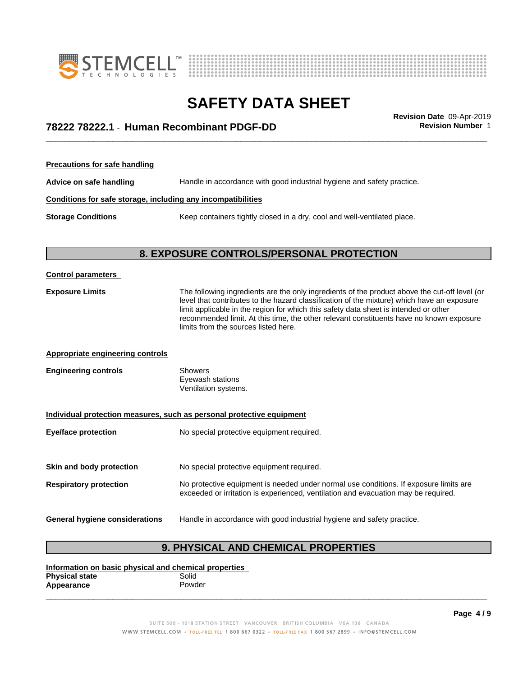



## \_\_\_\_\_\_\_\_\_\_\_\_\_\_\_\_\_\_\_\_\_\_\_\_\_\_\_\_\_\_\_\_\_\_\_\_\_\_\_\_\_\_\_\_\_\_\_\_\_\_\_\_\_\_\_\_\_\_\_\_\_\_\_\_\_\_\_\_\_\_\_\_\_\_\_\_\_\_\_\_\_\_\_\_\_\_\_\_\_\_\_\_\_ **Revision Date** 09-Apr-2019 **78222 78222.1** - **Human Recombinant PDGF-DD Revision Number** 1

**Precautions for safe handling Advice on safe handling** Handle in accordance with good industrial hygiene and safety practice. **Conditions for safe storage, including any incompatibilities Storage Conditions** Keep containers tightly closed in a dry, cool and well-ventilated place.

### **8. EXPOSURE CONTROLS/PERSONAL PROTECTION**

| <b>Control parameters</b>               |                                                                                                                                                                                                                                                                                                                                                                                                                        |
|-----------------------------------------|------------------------------------------------------------------------------------------------------------------------------------------------------------------------------------------------------------------------------------------------------------------------------------------------------------------------------------------------------------------------------------------------------------------------|
| <b>Exposure Limits</b>                  | The following ingredients are the only ingredients of the product above the cut-off level (or<br>level that contributes to the hazard classification of the mixture) which have an exposure<br>limit applicable in the region for which this safety data sheet is intended or other<br>recommended limit. At this time, the other relevant constituents have no known exposure<br>limits from the sources listed here. |
| <b>Appropriate engineering controls</b> |                                                                                                                                                                                                                                                                                                                                                                                                                        |
| <b>Engineering controls</b>             | <b>Showers</b><br>Eyewash stations<br>Ventilation systems.                                                                                                                                                                                                                                                                                                                                                             |
|                                         | Individual protection measures, such as personal protective equipment                                                                                                                                                                                                                                                                                                                                                  |
| <b>Eye/face protection</b>              | No special protective equipment required.                                                                                                                                                                                                                                                                                                                                                                              |
| Skin and body protection                | No special protective equipment required.                                                                                                                                                                                                                                                                                                                                                                              |
| <b>Respiratory protection</b>           | No protective equipment is needed under normal use conditions. If exposure limits are<br>exceeded or irritation is experienced, ventilation and evacuation may be required.                                                                                                                                                                                                                                            |
| General hygiene considerations          | Handle in accordance with good industrial hygiene and safety practice.                                                                                                                                                                                                                                                                                                                                                 |

### **9. PHYSICAL AND CHEMICAL PROPERTIES**

**Information on basic physical and chemical properties Physical state** Solid<br> **Appearance** Solid Powder **Appearance** 

> SUITE 500 - 1618 STATION STREET VANCOUVER BRITISH COLUMBIA V6A 1B6 CANADA WWW.STEMCELL.COM • TOLL-FREE TEL 1 800 667 0322 • TOLL-FREE FAX 1 800 567 2899 • INFO@STEMCELL.COM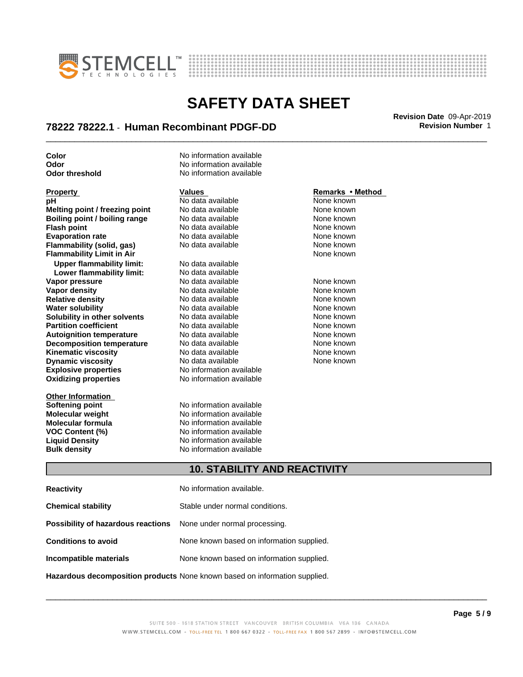



## \_\_\_\_\_\_\_\_\_\_\_\_\_\_\_\_\_\_\_\_\_\_\_\_\_\_\_\_\_\_\_\_\_\_\_\_\_\_\_\_\_\_\_\_\_\_\_\_\_\_\_\_\_\_\_\_\_\_\_\_\_\_\_\_\_\_\_\_\_\_\_\_\_\_\_\_\_\_\_\_\_\_\_\_\_\_\_\_\_\_\_\_\_ **Revision Date** 09-Apr-2019 **78222 78222.1** - **Human Recombinant PDGF-DD Revision Number** 1

**Explosive properties** No information available **Oxidizing properties** No information available **Property Remarks • Method Values Values Remarks • Method <b>Remarks • Method pH Remarks** • **Method pH Remarks** • **Method pH** No data available<br> **Melting point / freezing point** No data available **Melting point / freezing point** No data available None known **Boiling point / boiling range Modata available None known Flash point** No data available None known **Evaporation rate Reserve State State Additional None Convention Cone Control of the None known**<br> **Flammability (solid. gas)** No data available **None Known Flammability (solid, gas)** No data available None known<br> **Flammability Limit in Air** None Known **Flammability Limit in Air Upper flammability limit:** No data available **Lower flammability limit:** No data available **Vapor pressure No data available and the None known**<br> **Vapor density No data available None known**<br>
No data available **None known Vapor density** No data available **Relative density No data available None known**<br> **Water solubility No data available None known**<br>
No data available **Water solubility <br>
<b>Water solubility n** other **solvents** Modata available **None known**<br>
None known **Solubility in other solvents** No data available<br> **Partition coefficient** No data available **Partition coefficient**<br> **Autoignition temperature**<br>
No data available None Known None known **Autoignition temperature No data available None known**<br> **Decomposition temperature** No data available **None known**<br>
None known **Decomposition temperature** No data available **None known**<br> **Kinematic viscosity** No data available None known **Kinematic viscosity**<br> **Contains the Containst Contains and Dividing Contains the View Algorithm Connect Contains None known**<br>
No data available Connect None known **Dynamic viscosity** 

**Other Information Softening point No information available**<br> **Molecular weight No information available Molecular weight<br>Molecular formula** 

**Color** No information available **Odor** No information available **Odor threshold** No information available

**Molecular formula No information available**<br>**VOC Content (%) No information available VOC Content (%)** No information available **Liquid Density** No information available **Bulk density** No information available

None known

### **10. STABILITY AND REACTIVITY**

| <b>Reactivity</b>                                                       | No information available.                 |
|-------------------------------------------------------------------------|-------------------------------------------|
| <b>Chemical stability</b>                                               | Stable under normal conditions.           |
| <b>Possibility of hazardous reactions</b> None under normal processing. |                                           |
| <b>Conditions to avoid</b>                                              | None known based on information supplied. |
| Incompatible materials                                                  | None known based on information supplied. |
|                                                                         |                                           |

**Hazardous decomposition products** None known based on information supplied.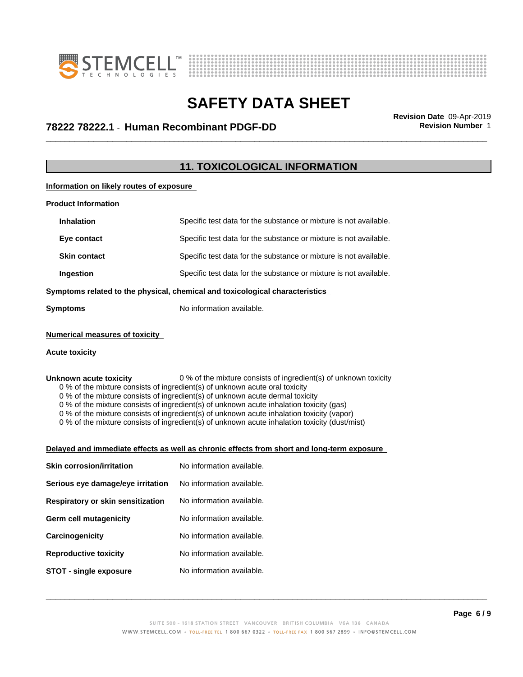



## \_\_\_\_\_\_\_\_\_\_\_\_\_\_\_\_\_\_\_\_\_\_\_\_\_\_\_\_\_\_\_\_\_\_\_\_\_\_\_\_\_\_\_\_\_\_\_\_\_\_\_\_\_\_\_\_\_\_\_\_\_\_\_\_\_\_\_\_\_\_\_\_\_\_\_\_\_\_\_\_\_\_\_\_\_\_\_\_\_\_\_\_\_ **Revision Date** 09-Apr-2019 **78222 78222.1** - **Human Recombinant PDGF-DD Revision Number** 1

### **11. TOXICOLOGICAL INFORMATION**

**Information on likely routes of exposure**

| <b>Product Information</b> |                                                                              |
|----------------------------|------------------------------------------------------------------------------|
| <b>Inhalation</b>          | Specific test data for the substance or mixture is not available.            |
| Eye contact                | Specific test data for the substance or mixture is not available.            |
| <b>Skin contact</b>        | Specific test data for the substance or mixture is not available.            |
| <b>Ingestion</b>           | Specific test data for the substance or mixture is not available.            |
|                            | Symptoms related to the physical, chemical and toxicological characteristics |
| Symptoms                   | No information available.                                                    |
|                            |                                                                              |

### **Numerical measures of toxicity**

#### **Acute toxicity**

**Unknown acute toxicity** 0 % of the mixture consists of ingredient(s) of unknown toxicity 0 % of the mixture consists of ingredient(s) of unknown acute oral toxicity

0 % of the mixture consists of ingredient(s) of unknown acute dermal toxicity

0 % of the mixture consists of ingredient(s) of unknown acute inhalation toxicity (gas)

0 % of the mixture consists of ingredient(s) of unknown acute inhalation toxicity (vapor)

0 % of the mixture consists of ingredient(s) of unknown acute inhalation toxicity (dust/mist)

#### **Delayed and immediate effects as well as chronic effects from short and long-term exposure**

| <b>Skin corrosion/irritation</b>  | No information available. |
|-----------------------------------|---------------------------|
| Serious eye damage/eye irritation | No information available. |
| Respiratory or skin sensitization | No information available. |
| Germ cell mutagenicity            | No information available. |
| Carcinogenicity                   | No information available. |
| <b>Reproductive toxicity</b>      | No information available. |
| STOT - single exposure            | No information available. |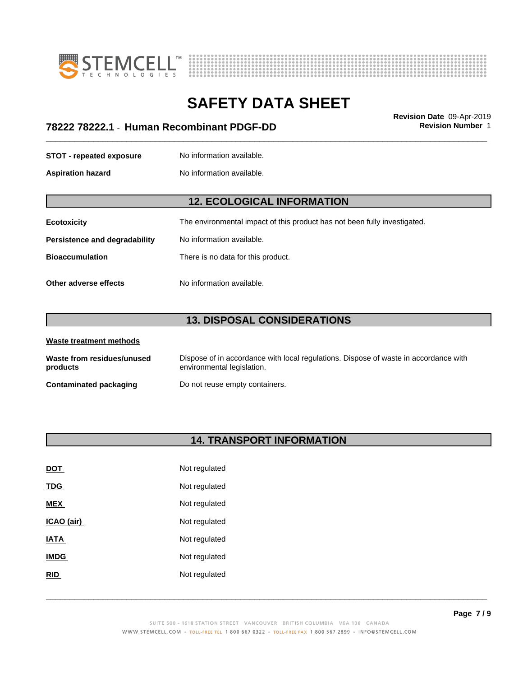



## \_\_\_\_\_\_\_\_\_\_\_\_\_\_\_\_\_\_\_\_\_\_\_\_\_\_\_\_\_\_\_\_\_\_\_\_\_\_\_\_\_\_\_\_\_\_\_\_\_\_\_\_\_\_\_\_\_\_\_\_\_\_\_\_\_\_\_\_\_\_\_\_\_\_\_\_\_\_\_\_\_\_\_\_\_\_\_\_\_\_\_\_\_ **Revision Date** 09-Apr-2019 **78222 78222.1** - **Human Recombinant PDGF-DD Revision Number** 1

**STOT** - **repeated exposure** No information available.

**Aspiration hazard** No information available.

### **12. ECOLOGICAL INFORMATION**

| <b>Ecotoxicity</b> | The environmental impact of this product has not been fully investigated. |
|--------------------|---------------------------------------------------------------------------|
|--------------------|---------------------------------------------------------------------------|

**Persistence and degradability** No information available.

**Bioaccumulation** There is no data for this product.

**Other adverse effects** No information available.

### **13. DISPOSAL CONSIDERATIONS**

| Waste treatment methods                |                                                                                                                    |
|----------------------------------------|--------------------------------------------------------------------------------------------------------------------|
| Waste from residues/unused<br>products | Dispose of in accordance with local regulations. Dispose of waste in accordance with<br>environmental legislation. |
| <b>Contaminated packaging</b>          | Do not reuse empty containers.                                                                                     |

### **14. TRANSPORT INFORMATION**

| <u>DOT</u>  | Not regulated |
|-------------|---------------|
| <u>TDG</u>  | Not regulated |
| <b>MEX</b>  | Not regulated |
| ICAO (air)  | Not regulated |
| IATA        | Not regulated |
| <b>IMDG</b> | Not regulated |
| <b>RID</b>  | Not regulated |
|             |               |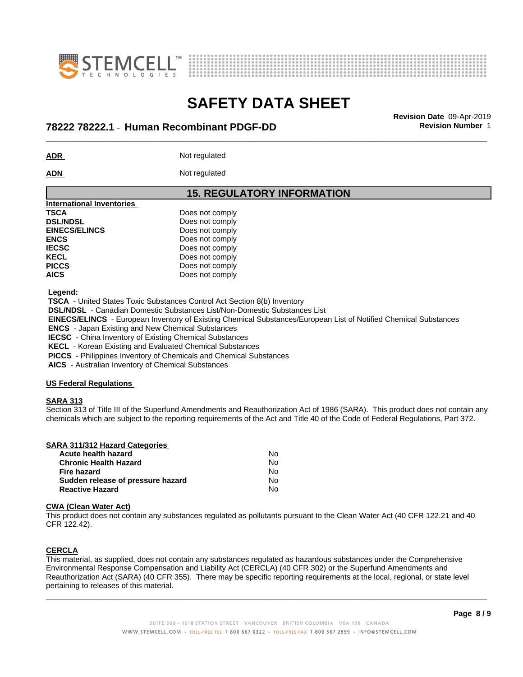



## \_\_\_\_\_\_\_\_\_\_\_\_\_\_\_\_\_\_\_\_\_\_\_\_\_\_\_\_\_\_\_\_\_\_\_\_\_\_\_\_\_\_\_\_\_\_\_\_\_\_\_\_\_\_\_\_\_\_\_\_\_\_\_\_\_\_\_\_\_\_\_\_\_\_\_\_\_\_\_\_\_\_\_\_\_\_\_\_\_\_\_\_\_ **Revision Date** 09-Apr-2019 **78222 78222.1** - **Human Recombinant PDGF-DD Revision Number** 1

**ADR** Not regulated

ADN Not regulated

### **15. REGULATORY INFORMATION**

| International Inventories |                 |  |
|---------------------------|-----------------|--|
| <b>TSCA</b>               | Does not comply |  |
| <b>DSL/NDSL</b>           | Does not comply |  |
| <b>EINECS/ELINCS</b>      | Does not comply |  |
| <b>ENCS</b>               | Does not comply |  |
| <b>IECSC</b>              | Does not comply |  |
| <b>KECL</b>               | Does not comply |  |
| <b>PICCS</b>              | Does not comply |  |
| <b>AICS</b>               | Does not comply |  |
|                           |                 |  |

 **Legend:**

 **TSCA** - United States Toxic Substances Control Act Section 8(b) Inventory

 **DSL/NDSL** - Canadian Domestic Substances List/Non-Domestic Substances List

 **EINECS/ELINCS** - European Inventory of Existing Chemical Substances/European List of Notified Chemical Substances

 **ENCS** - Japan Existing and New Chemical Substances

 **IECSC** - China Inventory of Existing Chemical Substances

 **KECL** - Korean Existing and Evaluated Chemical Substances

 **PICCS** - Philippines Inventory of Chemicals and Chemical Substances

 **AICS** - Australian Inventory of Chemical Substances

#### **US Federal Regulations**

#### **SARA 313**

Section 313 of Title III of the Superfund Amendments and Reauthorization Act of 1986 (SARA). This product does not contain any chemicals which are subject to the reporting requirements of the Act and Title 40 of the Code of Federal Regulations, Part 372.

|  | <b>SARA 311/312 Hazard Categories</b> |  |
|--|---------------------------------------|--|
|  |                                       |  |

| Acute health hazard               | No  |
|-----------------------------------|-----|
| <b>Chronic Health Hazard</b>      | No. |
| Fire hazard                       | No. |
| Sudden release of pressure hazard | N٥  |
| <b>Reactive Hazard</b>            | N٥  |

#### **CWA** (Clean Water Act)

This product does not contain any substances regulated as pollutants pursuant to the Clean Water Act (40 CFR 122.21 and 40 CFR 122.42).

### **CERCLA**

This material, as supplied, does not contain any substances regulated as hazardous substances under the Comprehensive Environmental Response Compensation and Liability Act (CERCLA) (40 CFR 302) or the Superfund Amendments and Reauthorization Act (SARA) (40 CFR 355). There may be specific reporting requirements at the local, regional, or state level pertaining to releases of this material.